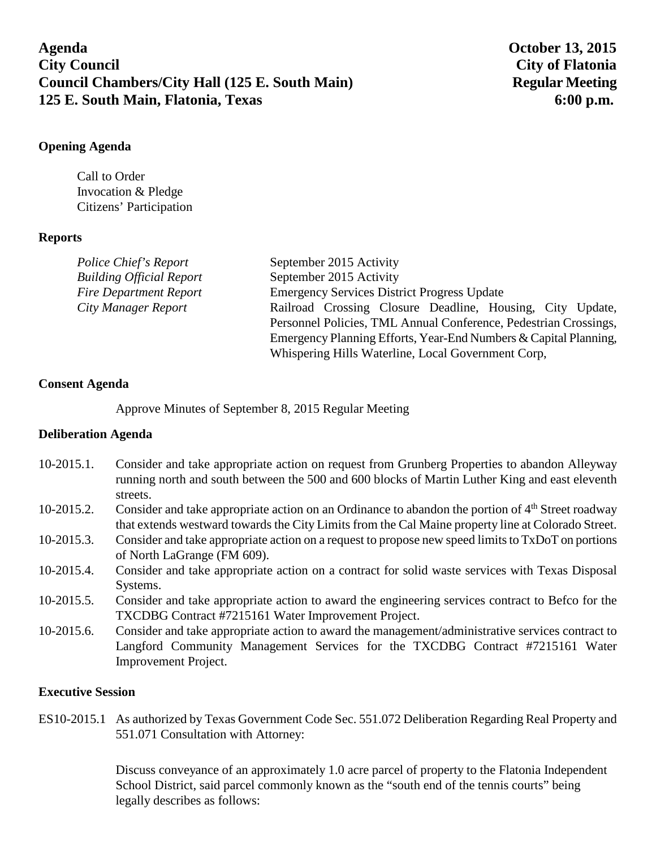**Agenda October 13, 2015 City Council City of Flatonia Council Chambers/City Hall (125 E. South Main)** Regular Meeting **125 E. South Main, Flatonia, Texas 6:00 p.m.**

## **Opening Agenda**

Call to Order Invocation & Pledge Citizens' Participation

# **Reports**

| Police Chief's Report           | September 2015 Activity                                          |
|---------------------------------|------------------------------------------------------------------|
| <b>Building Official Report</b> | September 2015 Activity                                          |
| <b>Fire Department Report</b>   | <b>Emergency Services District Progress Update</b>               |
| City Manager Report             | Railroad Crossing Closure Deadline, Housing, City Update,        |
|                                 | Personnel Policies, TML Annual Conference, Pedestrian Crossings, |
|                                 | Emergency Planning Efforts, Year-End Numbers & Capital Planning, |
|                                 | Whispering Hills Waterline, Local Government Corp,               |

### **Consent Agenda**

Approve Minutes of September 8, 2015 Regular Meeting

### **Deliberation Agenda**

- 10-2015.1. Consider and take appropriate action on request from Grunberg Properties to abandon Alleyway running north and south between the 500 and 600 blocks of Martin Luther King and east eleventh streets. 10-2015.2. Consider and take appropriate action on an Ordinance to abandon the portion of 4<sup>th</sup> Street roadway that extends westward towards the City Limits from the Cal Maine property line at Colorado Street. 10-2015.3. Consider and take appropriate action on a request to propose new speed limits to TxDoT on portions of North LaGrange (FM 609). 10-2015.4. Consider and take appropriate action on a contract for solid waste services with Texas Disposal
- Systems.
- 10-2015.5. Consider and take appropriate action to award the engineering services contract to Befco for the TXCDBG Contract #7215161 Water Improvement Project.
- 10-2015.6. Consider and take appropriate action to award the management/administrative services contract to Langford Community Management Services for the TXCDBG Contract #7215161 Water Improvement Project.

### **Executive Session**

ES10-2015.1 As authorized by Texas Government Code Sec. 551.072 Deliberation Regarding Real Property and 551.071 Consultation with Attorney:

> Discuss conveyance of an approximately 1.0 acre parcel of property to the Flatonia Independent School District, said parcel commonly known as the "south end of the tennis courts" being legally describes as follows: